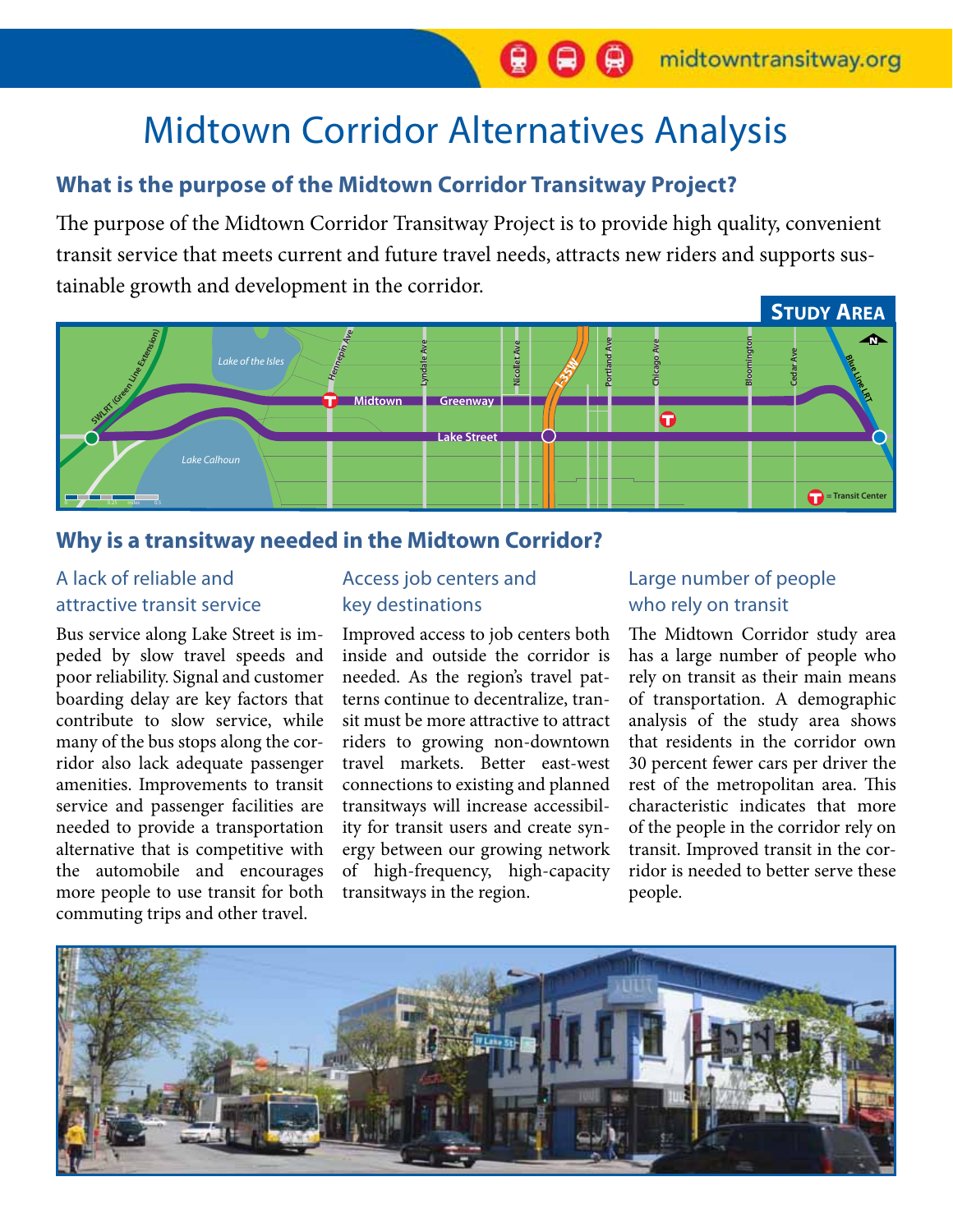# Midtown Corridor Alternatives Analysis

# **What is the purpose of the Midtown Corridor Transitway Project?**

The purpose of the Midtown Corridor Transitway Project is to provide high quality, convenient transit service that meets current and future travel needs, attracts new riders and supports sustainable growth and development in the corridor.



### **Why is a transitway needed in the Midtown Corridor?**

#### A lack of reliable and attractive transit service

Bus service along Lake Street is impeded by slow travel speeds and poor reliability. Signal and customer boarding delay are key factors that contribute to slow service, while many of the bus stops along the corridor also lack adequate passenger amenities. Improvements to transit service and passenger facilities are needed to provide a transportation alternative that is competitive with the automobile and encourages more people to use transit for both commuting trips and other travel.

#### Access job centers and key destinations

Improved access to job centers both inside and outside the corridor is needed. As the region's travel patterns continue to decentralize, transit must be more attractive to attract riders to growing non-downtown travel markets. Better east-west connections to existing and planned transitways will increase accessibility for transit users and create synergy between our growing network of high-frequency, high-capacity transitways in the region.

#### Large number of people who rely on transit

The Midtown Corridor study area has a large number of people who rely on transit as their main means of transportation. A demographic analysis of the study area shows that residents in the corridor own 30 percent fewer cars per driver the rest of the metropolitan area. This characteristic indicates that more of the people in the corridor rely on transit. Improved transit in the corridor is needed to better serve these people.